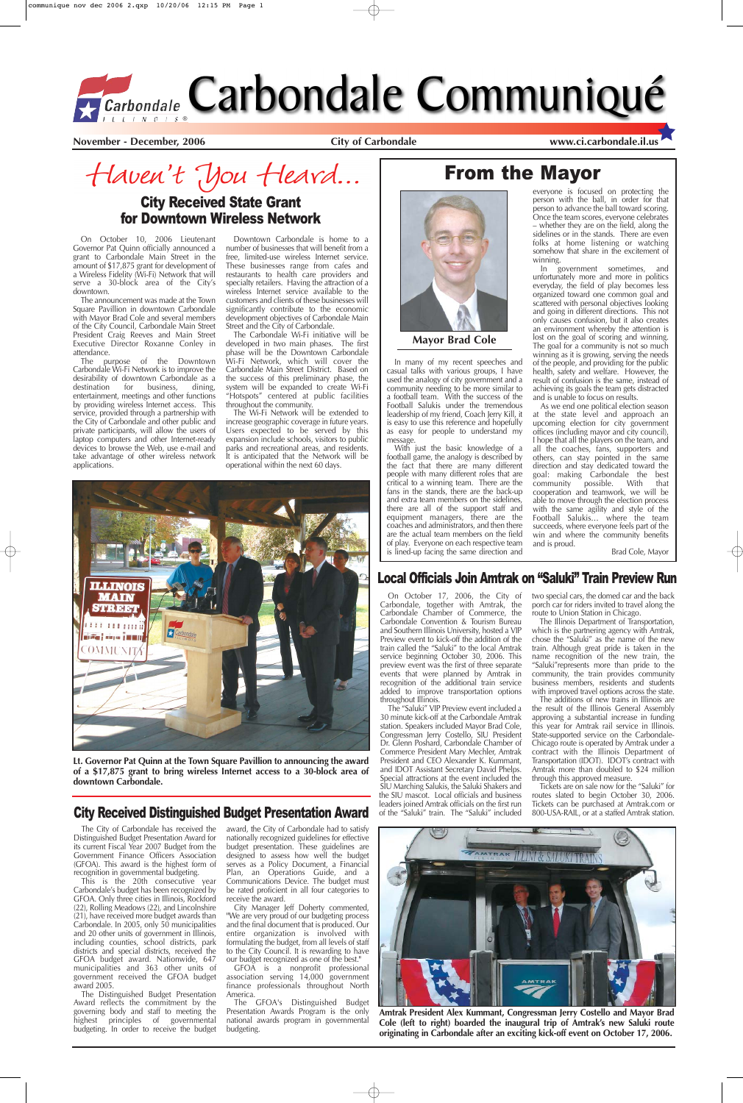**November - December, 2006 City of Carbondale www.ci.carbondale.il.us**

From the Mayor

## City Received Distinguished Budget Presentation Award

On October 10, 2006 Lieutenant Governor Pat Quinn officially announced a grant to Carbondale Main Street in the amount of \$17,875 grant for development of a Wireless Fidelity (Wi-Fi) Network that will serve a 30-block area of the City's downtown.

The announcement was made at the Town Square Pavillion in downtown Carbondale with Mayor Brad Cole and several members of the City Council, Carbondale Main Street President Craig Reeves and Main Street Executive Director Roxanne Conley in attendance.

The purpose of the Downtown Carbondale Wi-Fi Network is to improve the desirability of downtown Carbondale as a<br>destination for business, dining, for business, entertainment, meetings and other functions by providing wireless Internet access. This service, provided through a partnership with the City of Carbondale and other public and private participants, will allow the users of laptop computers and other Internet-ready devices to browse the Web, use e-mail and take advantage of other wireless network applications.

Downtown Carbondale is home to a number of businesses that will benefit from a free, limited-use wireless Internet service. These businesses range from cafes and restaurants to health care providers and specialty retailers. Having the attraction of a wireless Internet service available to the customers and clients of these businesses will significantly contribute to the economic development objectives of Carbondale Main Street and the City of Carbondale.

The Carbondale Wi-Fi initiative will be developed in two main phases. The first phase will be the Downtown Carbondale Wi-Fi Network, which will cover the Carbondale Main Street District. Based on the success of this preliminary phase, the system will be expanded to create Wi-Fi "Hotspots" centered at public facilities throughout the community.

The Wi-Fi Network will be extended to increase geographic coverage in future years. Users expected to be served by this expansion include schools, visitors to public parks and recreational areas, and residents. It is anticipated that the Network will be operational within the next 60 days.

## City Received State Grant for Downtown Wireless Network

In many of my recent speeches and casual talks with various groups, I have used the analogy of city government and a community needing to be more similar to a football team. With the success of the Football Salukis under the tremendous leadership of my friend, Coach Jerry Kill, it is easy to use this reference and hopefully as easy for people to understand my message.

With just the basic knowledge of a football game, the analogy is described by the fact that there are many different people with many different roles that are critical to a winning team. There are the fans in the stands, there are the back-up and extra team members on the sidelines, there are all of the support staff and equipment managers, there are the coaches and administrators, and then there are the actual team members on the field of play. Everyone on each respective team is lined-up facing the same direction and

everyone is focused on protecting the person with the ball, in order for that

Haven't You Heard...

person to advance the ball toward scoring. Once the team scores, everyone celebrates – whether they are on the field, along the sidelines or in the stands. There are even folks at home listening or watching somehow that share in the excitement of winning. In government sometimes, and

unfortunately more and more in politics everyday, the field of play becomes less organized toward one common goal and scattered with personal objectives looking and going in different directions. This not only causes confusion, but it also creates an environment whereby the attention is lost on the goal of scoring and winning. The goal for a community is not so much winning as it is growing, serving the needs of the people, and providing for the public health, safety and welfare. However, the result of confusion is the same, instead of achieving its goals the team gets distracted and is unable to focus on results.

As we end one political election season at the state level and approach an upcoming election for city government offices (including mayor and city council), I hope that all the players on the team, and all the coaches, fans, supporters and others, can stay pointed in the same direction and stay dedicated toward the goal: making Carbondale the best community possible. With that cooperation and teamwork, we will be able to move through the election process with the same agility and style of the Football Salukis… where the team succeeds, where everyone feels part of the win and where the community benefits and is proud.

Brad Cole, Mayor



**Mayor Brad Cole**

On October 17, 2006, the City of Carbondale, together with Amtrak, the Carbondale Chamber of Commerce, the Carbondale Convention & Tourism Bureau and Southern Illinois University, hosted a VIP Preview event to kick-off the addition of the train called the "Saluki" to the local Amtrak service beginning October 30, 2006. This preview event was the first of three separate events that were planned by Amtrak in recognition of the additional train service added to improve transportation options throughout Illinois.

The "Saluki" VIP Preview event included a 30 minute kick-off at the Carbondale Amtrak station. Speakers included Mayor Brad Cole, Congressman Jerry Costello, SIU President Dr. Glenn Poshard, Carbondale Chamber of Commerce President Mary Mechler, Amtrak President and CEO Alexander K. Kummant, and IDOT Assistant Secretary David Phelps. Special attractions at the event included the SIU Marching Salukis, the Saluki Shakers and the SIU mascot. Local officials and business leaders joined Amtrak officials on the first run of the "Saluki" train. The "Saluki" included

two special cars, the domed car and the back porch car for riders invited to travel along the route to Union Station in Chicago.

The Illinois Department of Transportation, which is the partnering agency with Amtrak, chose the "Saluki" as the name of the new train. Although great pride is taken in the name recognition of the new train, the "Saluki"represents more than pride to the community, the train provides community business members, residents and students with improved travel options across the state.

The additions of new trains in Illinois are the result of the Illinois General Assembly approving a substantial increase in funding this year for Amtrak rail service in Illinois. State-supported service on the Carbondale-Chicago route is operated by Amtrak under a contract with the Illinois Department of Transportation (IDOT). IDOT's contract with Amtrak more than doubled to \$24 million

through this approved measure.

Tickets are on sale now for the "Saluki" for routes slated to begin October 30, 2006. Tickets can be purchased at Amtrak.com or 800-USA-RAIL, or at a staffed Amtrak station.

The City of Carbondale has received the Distinguished Budget Presentation Award for its current Fiscal Year 2007 Budget from the Government Finance Officers Association (GFOA). This award is the highest form of recognition in governmental budgeting.

This is the 20th consecutive year Carbondale's budget has been recognized by GFOA. Only three cities in Illinois, Rockford (22), Rolling Meadows (22), and Lincolnshire (21), have received more budget awards than Carbondale. In 2005, only 50 municipalities and 20 other units of government in Illinois, including counties, school districts, park districts and special districts, received the GFOA budget award. Nationwide, 647 municipalities and 363 other units of government received the GFOA budget award 2005.

The Distinguished Budget Presentation Award reflects the commitment by the governing body and staff to meeting the highest principles of governmental budgeting. In order to receive the budget

award, the City of Carbondale had to satisfy nationally recognized guidelines for effective budget presentation. These guidelines are designed to assess how well the budget serves as a Policy Document, a Financial Plan, an Operations Guide, and a Communications Device. The budget must be rated proficient in all four categories to receive the award.

City Manager Jeff Doherty commented, "We are very proud of our budgeting process and the final document that is produced. Our entire organization is involved with formulating the budget, from all levels of staff to the City Council. It is rewarding to have our budget recognized as one of the best."

GFOA is a nonprofit professional association serving 14,000 government finance professionals throughout North America.

The GFOA's Distinguished Budget Presentation Awards Program is the only national awards program in governmental budgeting.



**Lt. Governor Pat Quinn at the Town Square Pavillion to announcing the award of a \$17,875 grant to bring wireless Internet access to a 30-block area of**

**downtown Carbondale.**



**Amtrak President Alex Kummant, Congressman Jerry Costello and Mayor Brad Cole (left to right) boarded the inaugural trip of Amtrak's new Saluki route originating in Carbondale after an exciting kick-off event on October 17, 2006.**

#### Local Officials Join Amtrak on "Saluki" Train Preview Run

# *ECarbondale* Carbondale Communiqué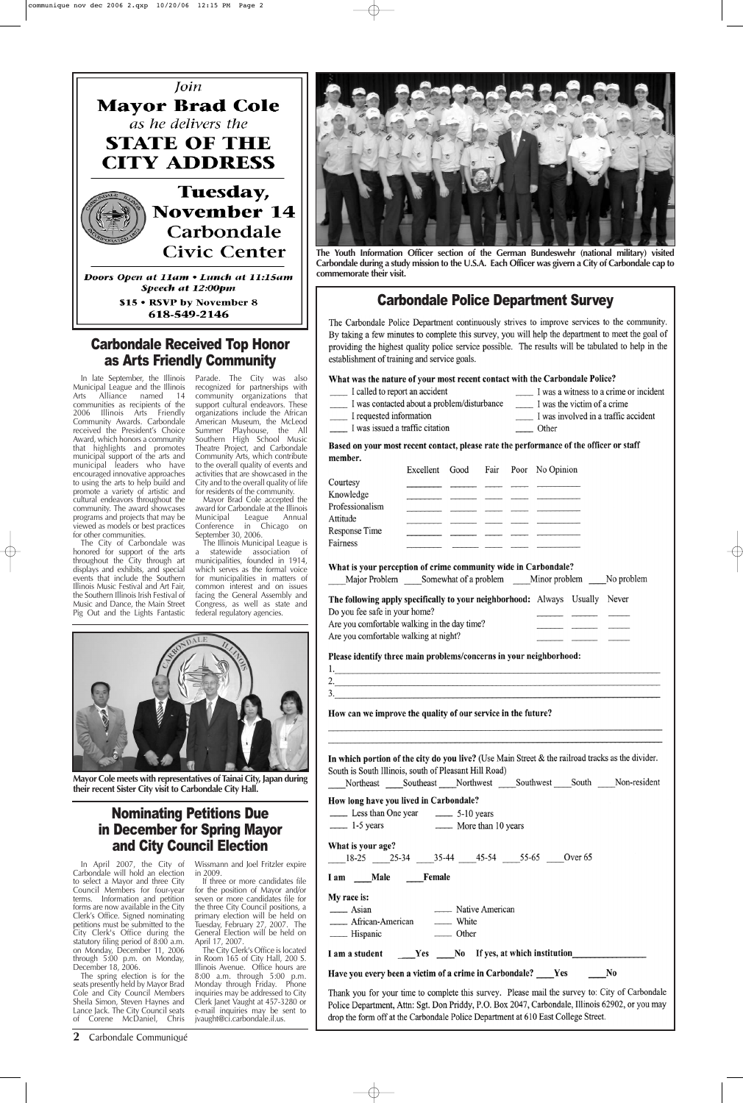**2** Carbondale Communiqué

#### Carbondale Police Department Survey

The Carbondale Police Department continuously strives to improve services to the community. By taking a few minutes to complete this survey, you will help the department to meet the goal of providing the highest quality police service possible. The results will be tabulated to help in the establishment of training and service goals.

#### What was the nature of your most recent contact with the Carbondale Police?

- I called to report an accident I was a witness to a crime or incident
- I was contacted about a problem/disturbance I was the victim of a crime
	- I was involved in a traffic accident
- I requested information I was issued a traffic citation
	- \_\_\_\_\_ Other

#### Based on your most recent contact, please rate the performance of the officer or staff member.

|                                                                       | Excellent | Good | Fair                           | Poor No Opinion |       |
|-----------------------------------------------------------------------|-----------|------|--------------------------------|-----------------|-------|
| Courtesy                                                              |           |      |                                |                 |       |
| Knowledge                                                             |           |      |                                |                 |       |
| Professionalism                                                       |           |      |                                |                 |       |
| Attitude                                                              |           |      | the property of the control of |                 |       |
| Response Time                                                         |           |      |                                |                 |       |
| Fairness                                                              |           |      |                                |                 |       |
| What is your perception of crime community wide in Carbondale?        |           |      |                                |                 |       |
| Major Problem Somewhat of a problem Minor problem No problem          |           |      |                                |                 |       |
| The following apply specifically to your neighborhood: Always Usually |           |      |                                |                 | Never |
| Do you fee safe in your home?                                         |           |      |                                |                 |       |
| Are you comfortable walking in the day time?                          |           |      |                                |                 |       |
| Are you comfortable walking at night?                                 |           |      |                                |                 |       |

Please identify three main problems/concerns in your neighborhood:

How can we improve the quality of our service in the future?

In which portion of the city do you live? (Use Main Street & the railroad tracks as the divider. South is South Illinois, south of Pleasant Hill Road)

**Mayor Cole meets with representatives of Tainai City, Japan during their recent Sister City visit to Carbondale City Hall.**



**The Youth Information Officer section of the German Bundeswehr (national military) visited Carbondale during a study mission to the U.S.A. Each Officer was givern a City of Carbondale cap to commemorate their visit.**

## Nominating Petitions Due in December for Spring Mayor and City Council Election

In April 2007, the City of Carbondale will hold an election to select a Mayor and three City Council Members for four-year terms. Information and petition forms are now available in the City Clerk's Office. Signed nominating petitions must be submitted to the City Clerk's Office during the statutory filing period of 8:00 a.m. on Monday, December 11, 2006 through 5:00 p.m. on Monday, December 18, 2006.

The spring election is for the seats presently held by Mayor Brad Cole and City Council Members Sheila Simon, Steven Haynes and Lance Jack. The City Council seats of Corene McDaniel, Chris

Wissmann and Joel Fritzler expire in 2009.

If three or more candidates file for the position of Mayor and/or seven or more candidates file for the three City Council positions, a primary election will be held on Tuesday, February 27, 2007. The General Election will be held on April 17, 2007.

The City Clerk's Office is located in Room 165 of City Hall, 200 S. Illinois Avenue. Office hours are 8:00 a.m. through 5:00 p.m. Monday through Friday. Phone inquiries may be addressed to City Clerk Janet Vaught at 457-3280 or e-mail inquiries may be sent to jvaught@ci.carbondale.il.us.

| Northeast Southeast Northwest Southwest South Non-resident                                      |       |                 |  |  |
|-------------------------------------------------------------------------------------------------|-------|-----------------|--|--|
| How long have you lived in Carbondale?                                                          |       |                 |  |  |
|                                                                                                 |       |                 |  |  |
| 1-5 years 1.5 More than 10 years                                                                |       |                 |  |  |
| What is your age?                                                                               |       |                 |  |  |
| 18-25 25-34 35-44 45-54 55-65 Over 65                                                           |       |                 |  |  |
| I am Male Female                                                                                |       |                 |  |  |
| My race is:                                                                                     |       |                 |  |  |
| $\equiv$ Asian                                                                                  |       | Native American |  |  |
| ______ African-American _______ White                                                           |       |                 |  |  |
|                                                                                                 | Other |                 |  |  |
| I am a student Yes No If yes, at which institution                                              |       |                 |  |  |
| Have you every been a victim of a crime in Carbondale? ____Yes _______No                        |       |                 |  |  |
| Thank you for your time to complete this survey. Please mail the survey to: City of Carbondale  |       |                 |  |  |
| Police Department, Attn: Sgt. Don Priddy, P.O. Box 2047, Carbondale, Illinois 62902, or you may |       |                 |  |  |
| drop the form off at the Carbondale Police Department at 610 East College Street.               |       |                 |  |  |

### Carbondale Received Top Honor as Arts Friendly Community

Municipal League and the Illinois Arts Alliance named 14 communities as recipients of the 2006 Illinois Arts Friendly Community Awards. Carbondale received the President's Choice Award, which honors a community that highlights and promotes municipal support of the arts and municipal leaders who have encouraged innovative approaches to using the arts to help build and promote a variety of artistic and cultural endeavors throughout the community. The award showcases programs and projects that may be viewed as models or best practices for other communities.

In late September, the Illinois Parade. The City was also recognized for partnerships with community organizations that support cultural endeavors. These organizations include the African American Museum, the McLeod Summer Playhouse, the All Southern High School Music Theatre Project, and Carbondale Community Arts, which contribute to the overall quality of events and activities that are showcased in the City and to the overall quality of life for residents of the community.

The City of Carbondale was honored for support of the arts throughout the City through art displays and exhibits, and special events that include the Southern Illinois Music Festival and Art Fair, the Southern Illinois Irish Festival of Music and Dance, the Main Street Pig Out and the Lights Fantastic

Mayor Brad Cole accepted the award for Carbondale at the Illinois<br>
Municipal League Annual Municipal League Annual<br>Conference in Chicago on in Chicago on September 30, 2006.

The Illinois Municipal League is a statewide association of municipalities, founded in 1914, which serves as the formal voice for municipalities in matters of common interest and on issues facing the General Assembly and Congress, as well as state and federal regulatory agencies.





\$15 . RSVP by November 8 618-549-2146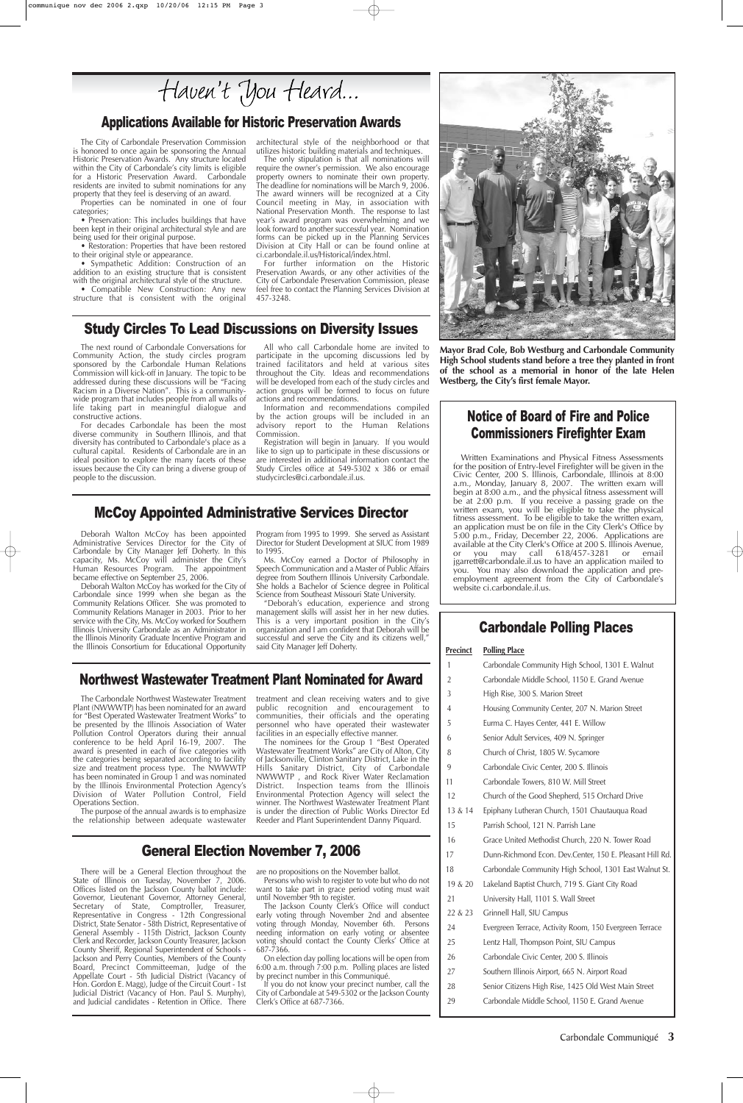The Carbondale Northwest Wastewater Treatment Plant (NWWWTP) has been nominated for an award for "Best Operated Wastewater Treatment Works" to be presented by the Illinois Association of Water Pollution Control Operators during their annual conference to be held April 16-19, 2007. The award is presented in each of five categories with the categories being separated according to facility size and treatment process type. The NWWWTP has been nominated in Group 1 and was nominated by the Illinois Environmental Protection Agency's Division of Water Pollution Control, Field Operations Section.

The purpose of the annual awards is to emphasize the relationship between adequate wastewater treatment and clean receiving waters and to give public recognition and encouragement to communities, their officials and the operating personnel who have operated their wastewater facilities in an especially effective manner.

The nominees for the Group 1 "Best Operated Wastewater Treatment Works" are City of Alton, City of Jacksonville, Clinton Sanitary District, Lake in the Hills Sanitary District, City of Carbondale NWWWTP , and Rock River Water Reclamation District. Inspection teams from the Illinois Environmental Protection Agency will select the winner. The Northwest Wastewater Treatment Plant is under the direction of Public Works Director Ed Reeder and Plant Superintendent Danny Piquard.

## Applications Available for Historic Preservation Awards

## General Election November 7, 2006

#### Northwest Wastewater Treatment Plant Nominated for Award

#### McCoy Appointed Administrative Services Director

#### Carbondale Polling Places

#### **Precinct Polling Place**

• Sympathetic Addition: Construction of an addition to an existing structure that is consistent with the original architectural style of the structure. • Compatible New Construction: Any new

- 1 Carbondale Community High School, 1301 E. Walnut
- 2 Carbondale Middle School, 1150 E. Grand Avenue
- 3 High Rise, 300 S. Marion Street
- 4 Housing Community Center, 207 N. Marion Street
- 5 Eurma C. Hayes Center, 441 E. Willow
- 6 Senior Adult Services, 409 N. Springer 8 Church of Christ, 1805 W. Sycamore
	-
- 9 Carbondale Civic Center, 200 S. Illinois

| 11      | Carbondale Towers, 810 W. Mill Street                    |
|---------|----------------------------------------------------------|
| 12      | Church of the Good Shepherd, 515 Orchard Drive           |
| 13 & 14 | Epiphany Lutheran Church, 1501 Chautauqua Road           |
| 15      | Parrish School, 121 N. Parrish Lane                      |
| 16      | Grace United Methodist Church, 220 N. Tower Road         |
| 17      | Dunn-Richmond Econ. Dev.Center, 150 E. Pleasant Hill Rd. |
| 18      | Carbondale Community High School, 1301 East Walnut St.   |
| 19 & 20 | Lakeland Baptist Church, 719 S. Giant City Road          |
| 21      | University Hall, 1101 S. Wall Street                     |
| 22 & 23 | Grinnell Hall, SIU Campus                                |
| 24      | Evergreen Terrace, Activity Room, 150 Evergreen Terrace  |
| 25      | Lentz Hall, Thompson Point, SIU Campus                   |
| 26      | Carbondale Civic Center, 200 S. Illinois                 |
| 27      | Southern Illinois Airport, 665 N. Airport Road           |
| 28      | Senior Citizens High Rise, 1425 Old West Main Street     |
| 29      | Carbondale Middle School, 1150 E. Grand Avenue           |
|         |                                                          |

The City of Carbondale Preservation Commission is honored to once again be sponsoring the Annual Historic Preservation Awards. Any structure located within the City of Carbondale's city limits is eligible for a Historic Preservation Award. Carbondale residents are invited to submit nominations for any property that they feel is deserving of an award.

Properties can be nominated in one of four categories;

• Preservation: This includes buildings that have been kept in their original architectural style and are being used for their original purpose.

• Restoration: Properties that have been restored to their original style or appearance.

structure that is consistent with the original

architectural style of the neighborhood or that utilizes historic building materials and techniques.

The only stipulation is that all nominations will require the owner's permission. We also encourage property owners to nominate their own property. The deadline for nominations will be March 9, 2006. The award winners will be recognized at a City Council meeting in May, in association with National Preservation Month. The response to last year's award program was overwhelming and we look forward to another successful year. Nomination forms can be picked up in the Planning Services Division at City Hall or can be found online at ci.carbondale.il.us/Historical/index.html.

For further information on the Historic Preservation Awards, or any other activities of the City of Carbondale Preservation Commission, please feel free to contact the Planning Services Division at 457-3248.

#### Study Circles To Lead Discussions on Diversity Issues

The next round of Carbondale Conversations for Community Action, the study circles program sponsored by the Carbondale Human Relations Commission will kick-off in January. The topic to be addressed during these discussions will be "Facing Racism in a Diverse Nation". This is a communitywide program that includes people from all walks of life taking part in meaningful dialogue and constructive actions.

For decades Carbondale has been the most diverse community in Southern Illinois, and that diversity has contributed to Carbondale's place as a cultural capital. Residents of Carbondale are in an ideal position to explore the many facets of these issues because the City can bring a diverse group of people to the discussion.

All who call Carbondale home are invited to participate in the upcoming discussions led by trained facilitators and held at various sites throughout the City. Ideas and recommendations will be developed from each of the study circles and action groups will be formed to focus on future actions and recommendations.

Information and recommendations compiled by the action groups will be included in an advisory report to the Human Relations Commission.

Registration will begin in January. If you would like to sign up to participate in these discussions or are interested in additional information contact the Study Circles office at 549-5302 x 386 or email studycircles@ci.carbondale.il.us.

Deborah Walton McCoy has been appointed Administrative Services Director for the City of Carbondale by City Manager Jeff Doherty. In this capacity, Ms. McCoy will administer the City's Human Resources Program. The appointment became effective on September 25, 2006.

Deborah Walton McCoy has worked for the City of Carbondale since 1999 when she began as the Community Relations Officer. She was promoted to Community Relations Manager in 2003. Prior to her service with the City, Ms. McCoy worked for Southern Illinois University Carbondale as an Administrator in the Illinois Minority Graduate Incentive Program and the Illinois Consortium for Educational Opportunity Program from 1995 to 1999. She served as Assistant Director for Student Development at SIUC from 1989 to 1995.

Ms. McCoy earned a Doctor of Philosophy in Speech Communication and a Master of Public Affairs degree from Southern Illinois University Carbondale. She holds a Bachelor of Science degree in Political Science from Southeast Missouri State University.

"Deborah's education, experience and strong management skills will assist her in her new duties. This is a very important position in the City's organization and I am confident that Deborah will be successful and serve the City and its citizens well," said City Manager Jeff Doherty.

#### Notice of Board of Fire and Police Commissioners Firefighter Exam

Written Examinations and Physical Fitness Assessments for the position of Entry-level Firefighter will be given in the Civic Center, 200 S. Illinois, Carbondale, Illinois at 8:00 a.m., Monday, January 8, 2007. The written exam will begin at 8:00 a.m., and the physical fitness assessment will be at 2:00 p.m. If you receive a passing grade on the written exam, you will be eligible to take the physical fitness assessment. To be eligible to take the written exam, an application must be on file in the City Clerk's Office by 5:00 p.m., Friday, December 22, 2006. Applications are available at the City Clerk's Office at 200 S. Illinois Avenue, or you may call 618/457-3281 or email jgarrett@carbondale.il.us to have an application mailed to you. You may also download the application and preemployment agreement from the City of Carbondale's website ci.carbondale.il.us.

#### Carbondale Communiqué **3**

There will be a General Election throughout the State of Illinois on Tuesday, November 7, 2006. Offices listed on the Jackson County ballot include: Governor, Lieutenant Governor, Attorney General,<br>Secretary of State, Comptroller, Treasurer, Secretary of State, Comptroller, Representative in Congress - 12th Congressional District, State Senator - 58th District, Representative of General Assembly - 115th District, Jackson County Clerk and Recorder, Jackson County Treasurer, Jackson County Sheriff, Regional Superintendent of Schools - Jackson and Perry Counties, Members of the County Board, Precinct Committeeman, Judge of the Appellate Court - 5th Judicial District (Vacancy of Hon. Gordon E. Magg), Judge of the Circuit Court - 1st Judicial District (Vacancy of Hon. Paul S. Murphy), and Judicial candidates - Retention in Office. There

are no propositions on the November ballot.

Persons who wish to register to vote but who do not want to take part in grace period voting must wait until November 9th to register.

The Jackson County Clerk's Office will conduct early voting through November 2nd and absentee voting through Monday, November 6th. Persons needing information on early voting or absentee voting should contact the County Clerks' Office at 687-7366.

On election day polling locations will be open from 6:00 a.m. through 7:00 p.m. Polling places are listed by precinct number in this Communiqué.

If you do not know your precinct number, call the City of Carbondale at 549-5302 or the Jackson County Clerk's Office at 687-7366.



**High School students stand before a tree they planted in front of the school as a memorial in honor of the late Helen Westberg, the City's first female Mayor.**

Haven't You Heard...